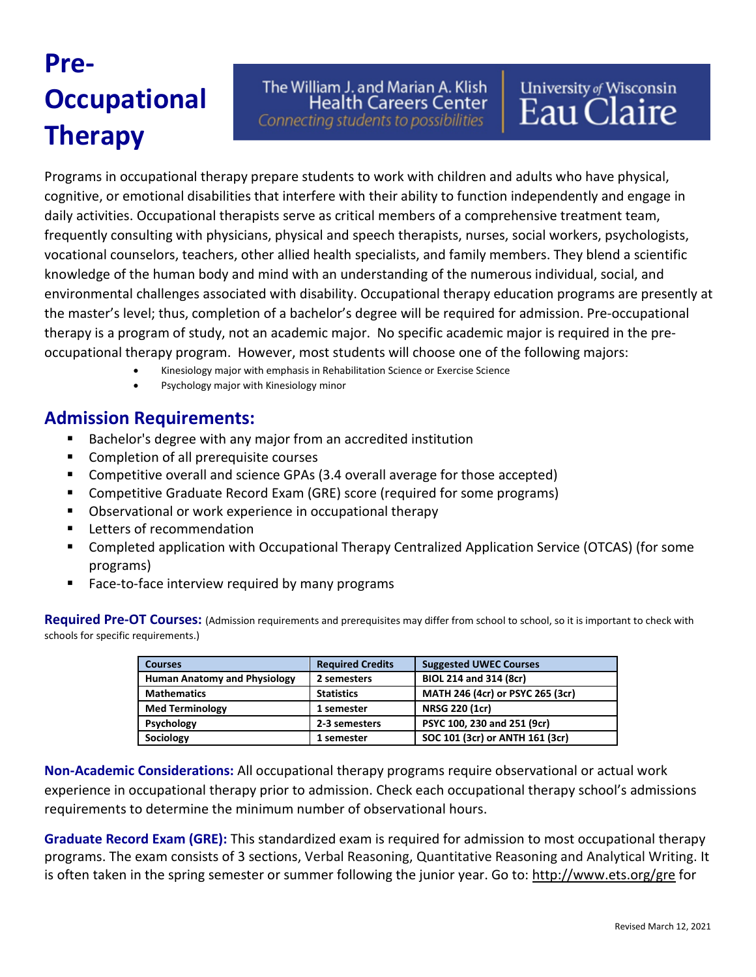# **Pre-Occupational Therapy**

The William J. and Marian A. Klish **Health Careers Center** 

Connecting students to possibilities

Programs in occupational therapy prepare students to work with children and adults who have physical, cognitive, or emotional disabilities that interfere with their ability to function independently and engage in daily activities. Occupational therapists serve as critical members of a comprehensive treatment team, frequently consulting with physicians, physical and speech therapists, nurses, social workers, psychologists, vocational counselors, teachers, other allied health specialists, and family members. They blend a scientific knowledge of the human body and mind with an understanding of the numerous individual, social, and environmental challenges associated with disability. Occupational therapy education programs are presently at the master's level; thus, completion of a bachelor's degree will be required for admission. Pre-occupational therapy is a program of study, not an academic major. No specific academic major is required in the preoccupational therapy program. However, most students will choose one of the following majors:

- Kinesiology major with emphasis in Rehabilitation Science or Exercise Science
- Psychology major with Kinesiology minor

## **Admission Requirements:**

- Bachelor's degree with any major from an accredited institution
- Completion of all prerequisite courses
- **Competitive overall and science GPAs (3.4 overall average for those accepted)**
- Competitive Graduate Record Exam (GRE) score (required for some programs)
- Observational or work experience in occupational therapy
- **Letters of recommendation**
- Completed application with Occupational Therapy Centralized Application Service (OTCAS) (for some programs)
- **Face-to-face interview required by many programs**

**Required Pre-OT Courses:** (Admission requirements and prerequisites may differ from school to school, so it is important to check with schools for specific requirements.)

| <b>Courses</b>                      | <b>Required Credits</b> | <b>Suggested UWEC Courses</b>    |
|-------------------------------------|-------------------------|----------------------------------|
| <b>Human Anatomy and Physiology</b> | 2 semesters             | BIOL 214 and 314 (8cr)           |
| <b>Mathematics</b>                  | <b>Statistics</b>       | MATH 246 (4cr) or PSYC 265 (3cr) |
| <b>Med Terminology</b>              | 1 semester              | <b>NRSG 220 (1cr)</b>            |
| <b>Psychology</b>                   | 2-3 semesters           | PSYC 100, 230 and 251 (9cr)      |
| Sociology                           | 1 semester              | SOC 101 (3cr) or ANTH 161 (3cr)  |

**Non-Academic Considerations:** All occupational therapy programs require observational or actual work experience in occupational therapy prior to admission. Check each occupational therapy school's admissions requirements to determine the minimum number of observational hours.

**Graduate Record Exam (GRE):** This standardized exam is required for admission to most occupational therapy programs. The exam consists of 3 sections, Verbal Reasoning, Quantitative Reasoning and Analytical Writing. It is often taken in the spring semester or summer following the junior year. Go to:<http://www.ets.org/gre> for